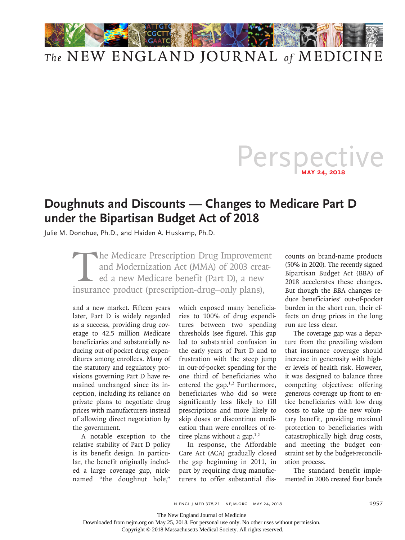

## *The* NEW ENGLAND JOURNAL *of* MEDICINE

## Perspective **May 24, 2018**

## **Doughnuts and Discounts — Changes to Medicare Part D under the Bipartisan Budget Act of 2018**

Julie M. Donohue, Ph.D., and Haiden A. Huskamp, Ph.D.

The Medicare Prescription Drug Improvement<br>and Modernization Act (MMA) of 2003 creat-<br>ed a new Medicare benefit (Part D), a new<br>insurance product (prescription-drug-only plans). and Modernization Act (MMA) of 2003 created a new Medicare benefit (Part D), a new insurance product (prescription-drug–only plans),

and a new market. Fifteen years later, Part D is widely regarded as a success, providing drug coverage to 42.5 million Medicare beneficiaries and substantially reducing out-of-pocket drug expenditures among enrollees. Many of the statutory and regulatory provisions governing Part D have remained unchanged since its inception, including its reliance on private plans to negotiate drug prices with manufacturers instead of allowing direct negotiation by the government.

A notable exception to the relative stability of Part D policy is its benefit design. In particular, the benefit originally included a large coverage gap, nicknamed "the doughnut hole,"

which exposed many beneficiaries to 100% of drug expenditures between two spending thresholds (see figure). This gap led to substantial confusion in the early years of Part D and to frustration with the steep jump in out-of-pocket spending for the one third of beneficiaries who entered the gap.<sup>1,2</sup> Furthermore, beneficiaries who did so were significantly less likely to fill prescriptions and more likely to skip doses or discontinue medication than were enrollees of retiree plans without a gap. $1,2$ 

In response, the Affordable Care Act (ACA) gradually closed the gap beginning in 2011, in part by requiring drug manufacturers to offer substantial discounts on brand-name products (50% in 2020). The recently signed Bipartisan Budget Act (BBA) of 2018 accelerates these changes. But though the BBA changes reduce beneficiaries' out-of-pocket burden in the short run, their effects on drug prices in the long run are less clear.

The coverage gap was a departure from the prevailing wisdom that insurance coverage should increase in generosity with higher levels of health risk. However, it was designed to balance three competing objectives: offering generous coverage up front to entice beneficiaries with low drug costs to take up the new voluntary benefit, providing maximal protection to beneficiaries with catastrophically high drug costs, and meeting the budget constraint set by the budget-reconciliation process.

The standard benefit implemented in 2006 created four bands

The New England Journal of Medicine

Downloaded from nejm.org on May 25, 2018. For personal use only. No other uses without permission.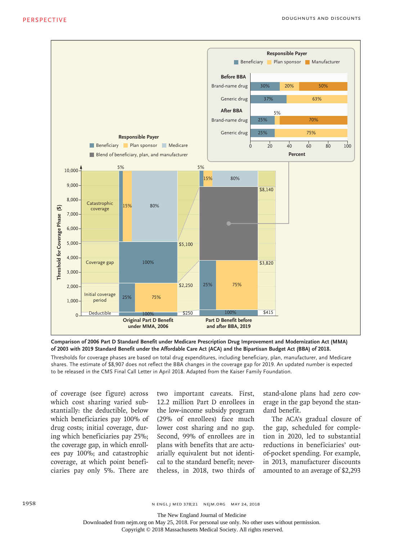

**Comparison of 2006 Part D Standard Benefit under Medicare Prescription Drug Improvement and Modernization Act (MMA) of 2003 with 2019 Standard Benefit under the Affordable Care Act (ACA) and the Bipartisan Budget Act (BBA) of 2018.**

Thresholds for coverage phases are based on total drug expenditures, including beneficiary, plan, manufacturer, and Medicare shares. The estimate of \$8,907 does not reflect the BBA changes in the coverage gap for 2019. An updated number is expected

of coverage (see figure) across which cost sharing varied substantially: the deductible, below which beneficiaries pay 100% of drug costs; initial coverage, during which beneficiaries pay 25%; the coverage gap, in which enrollees pay 100%; and catastrophic coverage, at which point beneficiaries pay only 5%. There are

two important caveats. First, 12.2 million Part D enrollees in the low-income subsidy program (29% of enrollees) face much lower cost sharing and no gap. Second, 99% of enrollees are in plans with benefits that are actuarially equivalent but not identical to the standard benefit; nevertheless, in 2018, two thirds of stand-alone plans had zero coverage in the gap beyond the standard benefit.

The ACA's gradual closure of the gap, scheduled for completion in 2020, led to substantial reductions in beneficiaries' outof-pocket spending. For example, in 2013, manufacturer discounts amounted to an average of \$2,293

n engl j med 378;21 nejm.org May 24, 2018

The New England Journal of Medicine

Downloaded from nejm.org on May 25, 2018. For personal use only. No other uses without permission.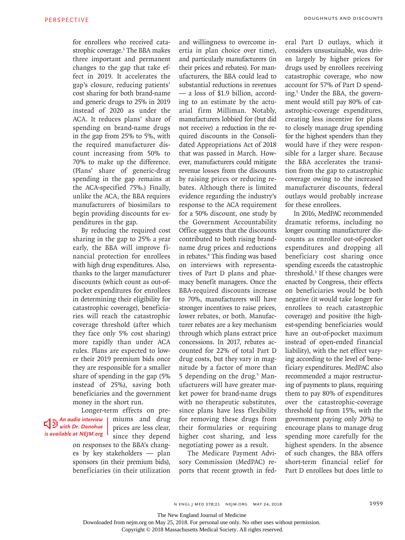for enrollees who received catastrophic coverage.3 The BBA makes three important and permanent changes to the gap that take effect in 2019. It accelerates the gap's closure, reducing patients' cost sharing for both brand-name and generic drugs to 25% in 2019 instead of 2020 as under the ACA. It reduces plans' share of spending on brand-name drugs in the gap from 25% to 5%, with the required manufacturer discount increasing from 50% to 70% to make up the difference. (Plans' share of generic-drug spending in the gap remains at the ACA-specified 75%.) Finally, unlike the ACA, the BBA requires manufacturers of biosimilars to begin providing discounts for expenditures in the gap.

By reducing the required cost sharing in the gap to 25% a year early, the BBA will improve financial protection for enrollees with high drug expenditures. Also, thanks to the larger manufacturer discounts (which count as out-ofpocket expenditures for enrollees in determining their eligibility for catastrophic coverage), beneficiaries will reach the catastrophic coverage threshold (after which they face only 5% cost sharing) more rapidly than under ACA rules. Plans are expected to lower their 2019 premium bids once they are responsible for a smaller share of spending in the gap (5% instead of 25%), saving both beneficiaries and the government money in the short run.

Longer-term effects on pre- *An audio interview with Dr. Donohue is available at NEJM.org* 

miums and drug prices are less clear, since they depend on responses to the BBA's changes by key stakeholders — plan sponsors (in their premium bids), beneficiaries (in their utilization

and willingness to overcome inertia in plan choice over time), and particularly manufacturers (in their prices and rebates). For manufacturers, the BBA could lead to substantial reductions in revenues — a loss of \$1.9 billion, according to an estimate by the actuarial firm Milliman. Notably, manufacturers lobbied for (but did not receive) a reduction in the required discounts in the Consolidated Appropriations Act of 2018 that was passed in March. However, manufacturers could mitigate revenue losses from the discounts by raising prices or reducing rebates. Although there is limited evidence regarding the industry's response to the ACA requirement for a 50% discount, one study by the Government Accountability Office suggests that the discounts contributed to both rising brandname drug prices and reductions in rebates.4 This finding was based on interviews with representatives of Part D plans and pharmacy benefit managers. Once the BBA-required discounts increase to 70%, manufacturers will have stronger incentives to raise prices, lower rebates, or both. Manufacturer rebates are a key mechanism through which plans extract price concessions. In 2017, rebates accounted for 22% of total Part D drug costs, but they vary in magnitude by a factor of more than 5 depending on the drug.<sup>5</sup> Manufacturers will have greater market power for brand-name drugs with no therapeutic substitutes, since plans have less flexibility for removing these drugs from their formularies or requiring higher cost sharing, and less negotiating power as a result.

The Medicare Payment Advisory Commission (MedPAC) reports that recent growth in federal Part D outlays, which it considers unsustainable, was driven largely by higher prices for drugs used by enrollees receiving catastrophic coverage, who now account for 57% of Part D spending.5 Under the BBA, the government would still pay 80% of catastrophic-coverage expenditures, creating less incentive for plans to closely manage drug spending for the highest spenders than they would have if they were responsible for a larger share. Because the BBA accelerates the transition from the gap to catastrophic coverage owing to the increased manufacturer discounts, federal outlays would probably increase for these enrollees.

In 2016, MedPAC recommended dramatic reforms, including no longer counting manufacturer discounts as enrollee out-of-pocket expenditures and dropping all beneficiary cost sharing once spending exceeds the catastrophic threshold.3 If these changes were enacted by Congress, their effects on beneficiaries would be both negative (it would take longer for enrollees to reach catastrophic coverage) and positive (the highest-spending beneficiaries would have an out-of-pocket maximum instead of open-ended financial liability), with the net effect varying according to the level of beneficiary expenditures. MedPAC also recommended a major restructuring of payments to plans, requiring them to pay 80% of expenditures over the catastrophic-coverage threshold (up from 15%, with the government paying only 20%) to encourage plans to manage drug spending more carefully for the highest spenders. In the absence of such changes, the BBA offers short-term financial relief for Part D enrollees but does little to

The New England Journal of Medicine

Downloaded from nejm.org on May 25, 2018. For personal use only. No other uses without permission.